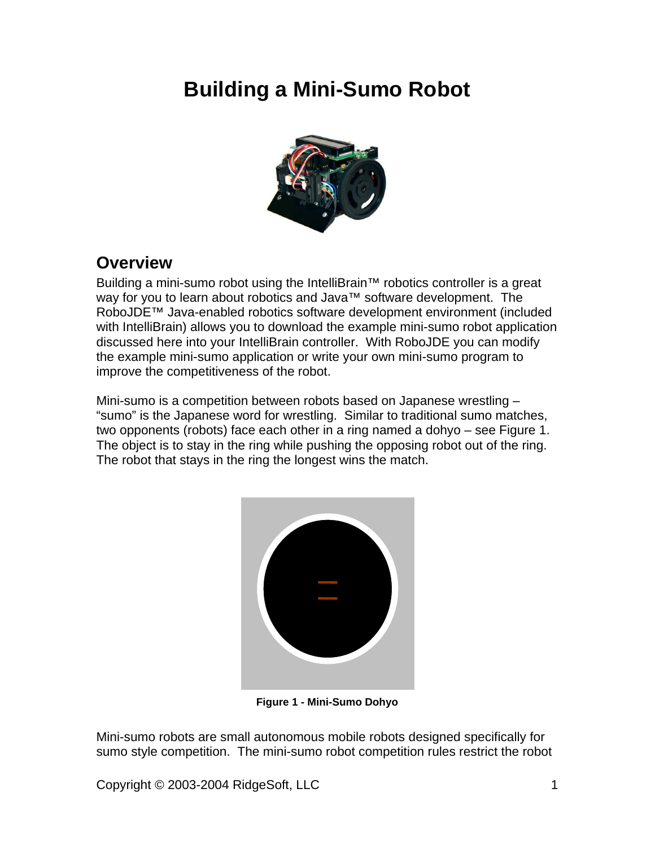# **Building a Mini-Sumo Robot**



## **Overview**

Building a mini-sumo robot using the IntelliBrain™ robotics controller is a great way for you to learn about robotics and Java<sup>™</sup> software development. The RoboJDE™ Java-enabled robotics software development environment (included with IntelliBrain) allows you to download the example mini-sumo robot application discussed here into your IntelliBrain controller. With RoboJDE you can modify the example mini-sumo application or write your own mini-sumo program to improve the competitiveness of the robot.

Mini-sumo is a competition between robots based on Japanese wrestling – "sumo" is the Japanese word for wrestling. Similar to traditional sumo matches, two opponents (robots) face each other in a ring named a dohyo – see Figure 1.<br>The object is to stay in the ring while pushing the opposing robot out of the ring.<br>The robot that stays in the ring the longest wins the match



**Figure 1 - Mini-Sumo Dohyo**

Mini-sumo robots are small autonomous mobile robots designed specifically for sumo style competition. The mini-sumo robot competition rules restrict the robot

Copyright © 2003-2004 RidgeSoft, LLC 1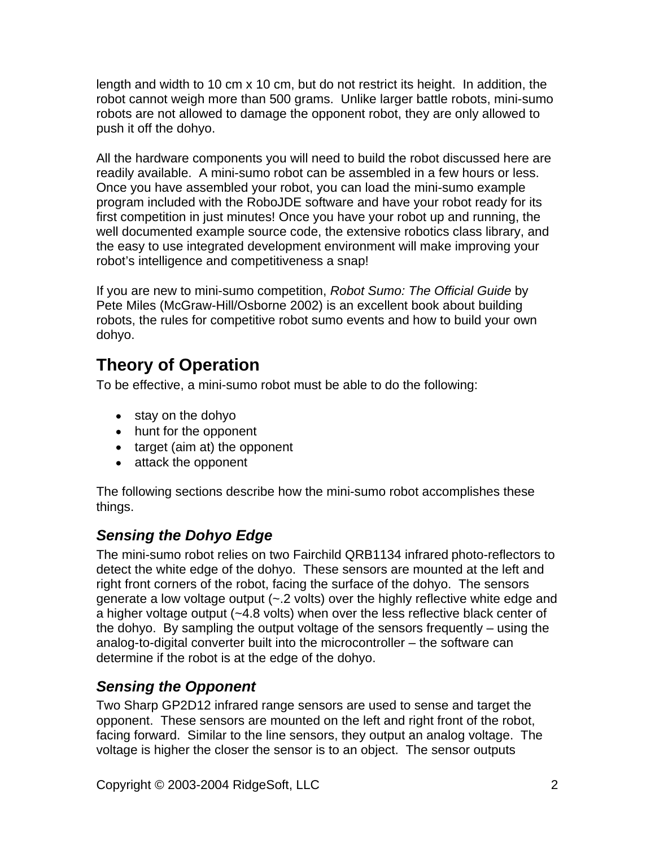length and width to 10 cm x 10 cm, but do not restrict its height. In addition, the robot cannot weigh more than 500 grams. Unlike larger battle robots, mini-sumo robots are not allowed to damage the opponent robot, they are only allowed to push it off the dohyo.

All the hardware components you will need to build the robot discussed here are readily available. A mini-sumo robot can be assembled in a few hours or less.<br>Once you have assembled your robot, you can load the mini-sumo example program included with the RoboJDE software and have your robot ready for its first competition in just minutes! Once you have your robot up and running, the well documented example source code, the extensive robotics class library, and the easy to use integrated development environment will make improving your robot's intelligence and competitiveness a snap!

If you are new to mini-sumo competition, Robot Sumo: The Official Guide by Pete Miles (McGraw-Hill/Osborne 2002) is an excellent book about building robots, the rules for competitive robot sumo events and how to build your own dohyo.

## **Theory of Operation**

To be effective, a mini-sumo robot must be able to do the following:

- stay on the dohyo state of the state of the state of the state of the state of the state of the state of the state of the state of the state of the state of the state of the state of the state of the state of the state of
- hunt for the opponent
- target (aim at) the opponent
- attack the opponent

The following sections describe how the mini-sumo robot accomplishes these things.

## **Sensing the Dohyo Edge**

The mini-sumo robot relies on two Fairchild QRB1134 infrared photo-reflectors to detect the white edge of the dohyo. These sensors are mounted at the left and right front corners of the robot, facing the surface of the dohyo. The sensors generate a low voltage output (~.2 volts) over the highly reflective white edge and a higher voltage output (~4.8 volts) when over the less reflective black center of the dohyo. By sampling the output voltage of the sensors frequently – using the analog-to-digital converter built into the microcontroller – the software can determine if the robot is at the edge of the dohyo.

## **Sensing the Opponent**

Two Sharp GP2D12 infrared range sensors are used to sense and target the opponent. These sensors are mounted on the left and right front of the robot, facing forward. Similar to the line sensors, they output an analog voltage. The voltage is higher the closer the sensor is to an object. The sensor outputs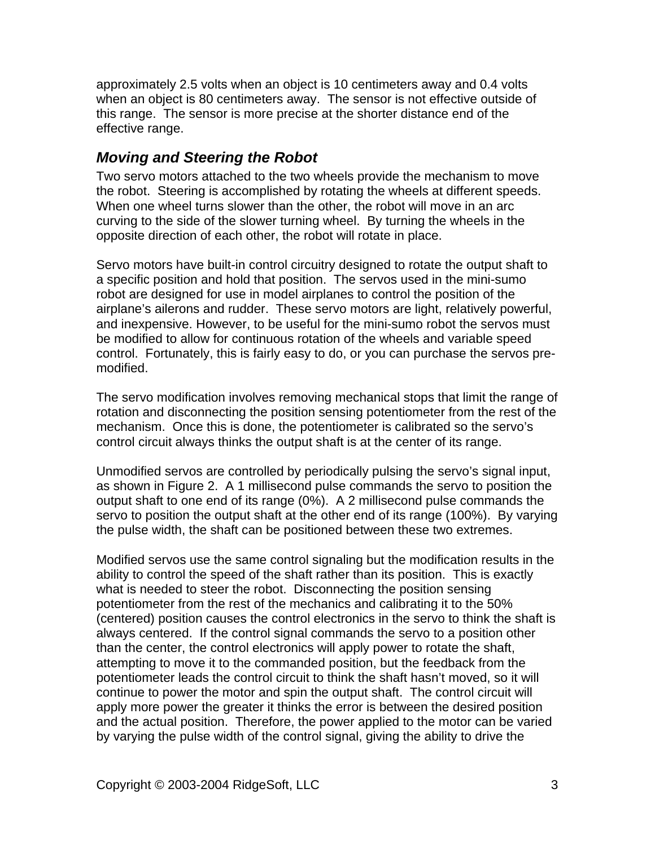approximately 2.5 volts when an object is 10 centimeters away and 0.4 volts when an object is 80 centimeters away. The sensor is not effective outside of this range. The sensor is more precise at the shorter distance end of the effective range.

### **Moving and Steering the Robot**

Two servo motors attached to the two wheels provide the mechanism to move the robot. Steering is accomplished by rotating the wheels at different speeds. When one wheel turns slower than the other, the robot will move in an arc curving to the side of the slower turning wheel. By turning the wheels in the opposite direction of each other, the robot will rotate in place.

Servo motors have built-in control circuitry designed to rotate the output shaft to a specific position and hold that position. The servos used in the mini-sumo robot are designed for use in model airplanes to control the position of the airplane's ailerons and rudder. These servo motors are light, relatively powerful, and inexpensive. However, to be useful for the mini-sumo robot the servos must be modified to allow for continuous rotation of the wheels and variable speed control. Fortunately, this is fairly easy to do, or you can purchase the servos pre modified.

The servo modification involves removing mechanical stops that limit the range of rotation and disconnecting the position sensing potentiometer from the rest of the mechanism. Once this is done, the potentiometer is calibrated so the servo's control circuit always thinks the output shaft is at the center of its range.

Unmodified servos are controlled by periodically pulsing the servo's signal input, as shown in Figure 2. A 1 millisecond pulse commands the servo to position the output shaft to one end of its range (0%). A 2 millisecond pulse commands the servo to position the output shaft at the other end of its range (100%). By varying the pulse width, the shaft can be positioned between these two extremes.

Modified servos use the same control signaling but the modification results in the ability to control the speed of the shaft rather than its position. This is exactly what is needed to steer the robot. Disconnecting the position sensing potentiometer from the rest of the mechanics and calibrating it to the 50% (centered) position causes the control electronics in the servo to think the shaft is always centered. If the control signal commands the servo to a position other than the center, the control electronics will apply power to rotate the shaft, attempting to move it to the commanded position, but the feedback from the potentiometer leads the control circuit to think the shaft hasn't moved, so it will continue to power the motor and spin the output shaft. The control circuit will apply more power the greater it thinks the error is between the desired position and the actual position. Therefore, the power applied to the motor can be varied by varying the pulse width of the control signal, giving the ability to drive the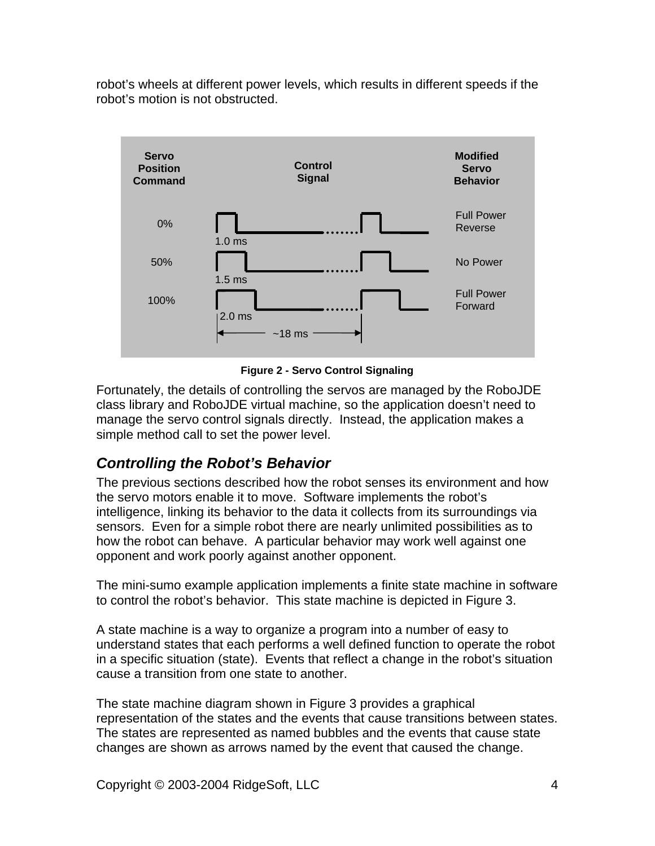robot's wheels at different power levels, which results in different speeds if the robot's motion is not obstructed.



**Figure 2 - Servo Control Signaling**

Fortunately, the details of controlling the servos are managed by the RoboJDE class library and RoboJDE virtual machine, so the application doesn't need to manage the servo control signals directly. Instead, the application makes a simple method call to set the power level.

## **Controlling the Robot's Behavior**

The previous sections described how the robot senses its environment and how the servo motors enable it to move. Software implements the robot's intelligence, linking its behavior to the data it collects from its surroundings via sensors. Even for a simple robot there are nearly unlimited possibilities as to how the robot can behave. A particular behavior may work well against one opponent and work poorly against another opponent.

The mini-sumo example application implements a finite state machine in software to control the robot's behavior. This state machine is depicted in Figure 3.

A state machine is a way to organize a program into a number of easy to understand states that each performs a well defined function to operate the robot in a specific situation (state). Events that reflect a change in the robot's situation cause a transition from one state to another.

The state machine diagram shown in Figure 3 provides a graphical representation of the states and the events that cause transitions between states. The states are represented as named bubbles and the events that cause state changes are shown as arrows named by the event that caused the change.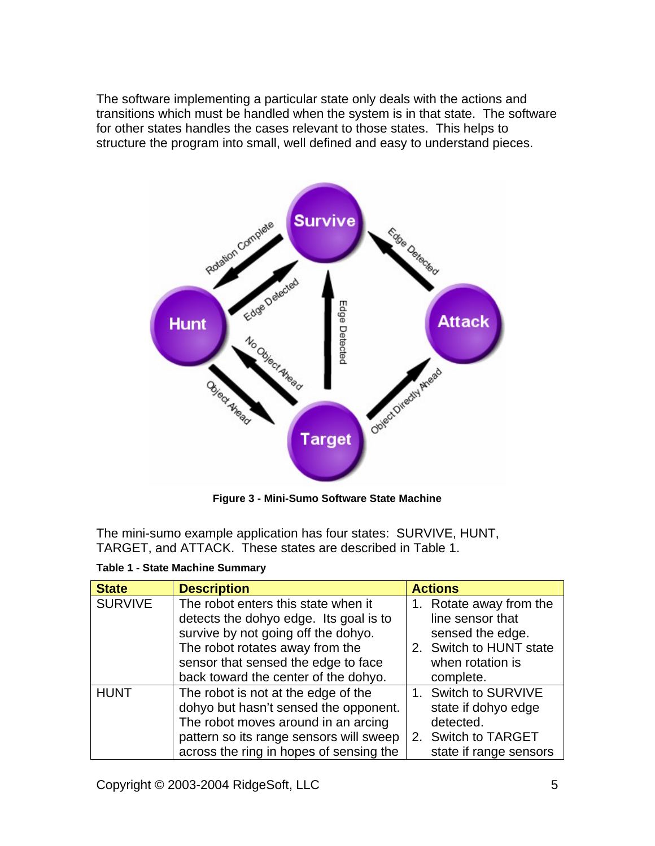The software implementing a particular state only deals with the actions and transitions which must be handled when the system is in that state. The software for other states handles the cases relevant to those states. This helps to structure the program into small, well defined and easy to understand pieces.



**Figure 3 - Mini-Sumo Software State Machine**

The mini-sumo example application has four states: SURVIVE, HUNT, TARGET, and ATTACK. These states are described in Table 1.

| <b>State</b>   | <b>Description</b>                                            | <b>Actions</b>          |
|----------------|---------------------------------------------------------------|-------------------------|
| <b>SURVIVE</b> | The robot enters this state when it                           | Rotate away from the    |
|                | detects the dohyo edge. Its goal is to                        | line sensor that        |
|                | survive by not going off the dohyo.                           | sensed the edge.        |
|                | The robot rotates away from the                               | 2. Switch to HUNT state |
|                | sensor that sensed the edge to face                           | when rotation is        |
|                | back toward the center of the dohyo.                          | complete.               |
| <b>HUNT</b>    | The robot is not at the edge of the                           | Switch to SURVIVE       |
|                | dohyo but hasn't sensed the opponent.                         | state if dohyo edge     |
|                | The robot moves around in an arcing                           | detected.               |
|                | pattern so its range sensors will sweep   2. Switch to TARGET |                         |
|                | across the ring in hopes of sensing the                       | state if range sensors  |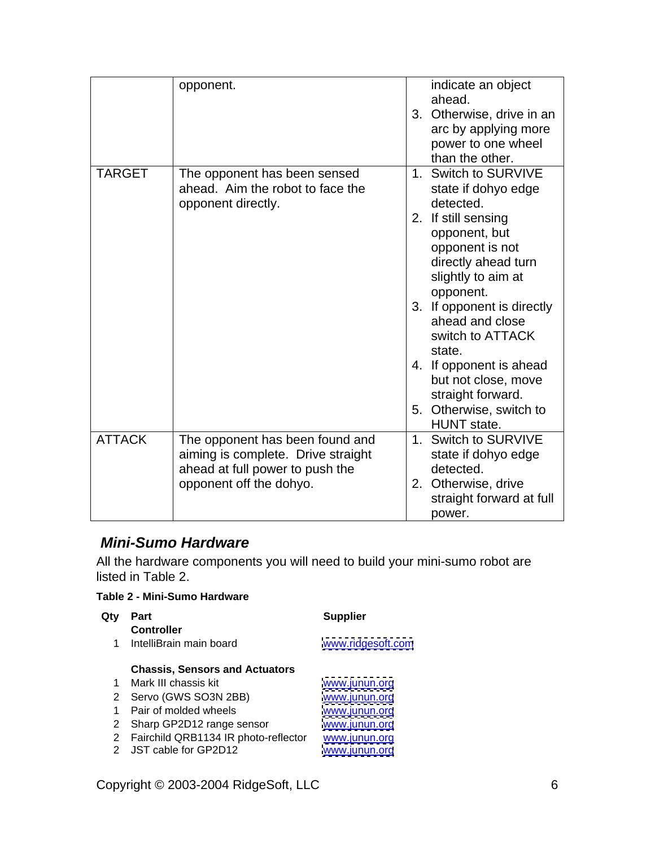|               | opponent.                                                                                                                           | indicate an object<br>ahead.<br>3. Otherwise, drive in an<br>arc by applying more<br>power to one wheel<br>than the other.                                                                                                                                                                                                                                                 |
|---------------|-------------------------------------------------------------------------------------------------------------------------------------|----------------------------------------------------------------------------------------------------------------------------------------------------------------------------------------------------------------------------------------------------------------------------------------------------------------------------------------------------------------------------|
| <b>TARGET</b> | The opponent has been sensed<br>ahead. Aim the robot to face the<br>opponent directly.                                              | Switch to SURVIVE<br>state if dohyo edge<br>detected.<br>2. If still sensing<br>opponent, but<br>opponent is not<br>directly ahead turn<br>slightly to aim at<br>opponent.<br>3. If opponent is directly<br>ahead and close<br>switch to ATTACK<br>state.<br>4. If opponent is ahead<br>but not close, move<br>straight forward.<br>5. Otherwise, switch to<br>HUNT state. |
| <b>ATTACK</b> | The opponent has been found and<br>aiming is complete. Drive straight<br>ahead at full power to push the<br>opponent off the dohyo. | Switch to SURVIVE<br>state if dohyo edge<br>detected.<br>2. Otherwise, drive<br>straight forward at full<br>power.                                                                                                                                                                                                                                                         |

### **Mini-Sumo Hardware**

All the hardware components you will need to build your mini-sumo robot are listed in Table 2.

#### **Table 2 - Mini-Sumo Hardware**

| Qty Part                                             | <b>Supplier</b>   |
|------------------------------------------------------|-------------------|
| <b>Controller</b>                                    |                   |
| IntelliBrain main board                              | www.ridgesoft.com |
|                                                      |                   |
| <b>Chassis, Sensors and Actuators</b>                |                   |
| Mark III chassis kit                                 | www.junun.org     |
| 2 Servo (GWS SO3N 2BB)                               | www.junun.org     |
| 1 Pair of molded wheels                              | www.junun.org     |
| 2 Sharp GP2D12 range sensor                          | www.junun.org     |
| 2 Fairchild QRB1134 IR photo-reflector www.junun.org |                   |
| 2 JST cable for GP2D12                               | www.junun.org     |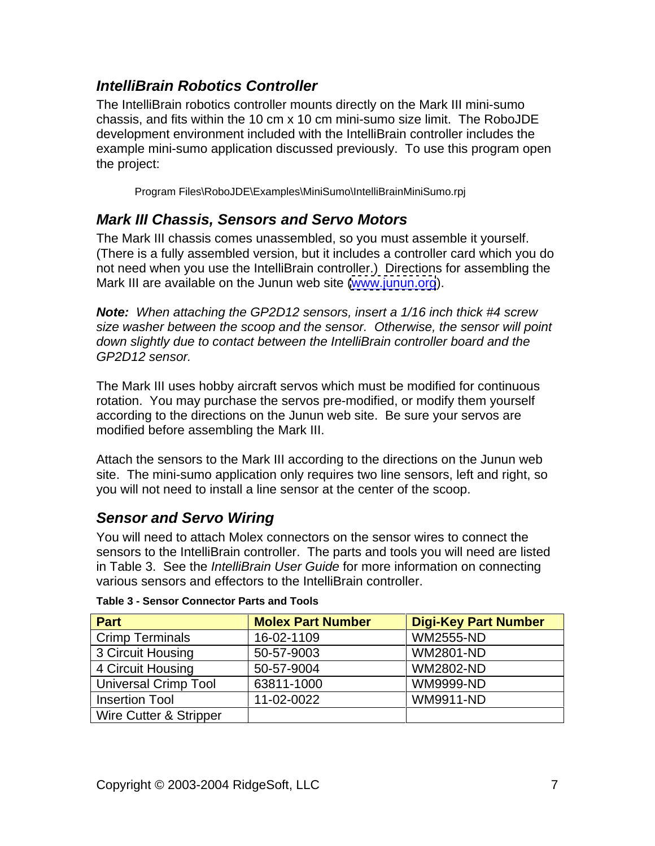### **IntelliBrain Robotics Controller**

The IntelliBrain robotics controller mounts directly on the Mark III mini-sumo chassis, and fits within the 10 cm x 10 cm mini-sumo size limit. The RoboJDE development environment included with the IntelliBrain controller includes the example mini-sumo application discussed previously. To use this program open the project:

Program Files\RoboJDE\Examples\MiniSumo\IntelliBrainMiniSumo.rpj

### **Mark III Chassis, Sensors and Servo Motors**

The Mark III chassis comes unassembled, so you must assemble it yourself. (There is a fully assembled version, but it includes a controller card which you do not need when you use the IntelliBrain controller.) Directions for assembling the Mark III are available on the Junun web site [\(www.junun.org](http://www.junun.org)).

**Note:** When attaching the GP2D12 sensors, insert a 1/16 inch thick #4 screw size washer between the scoop and the sensor. Otherwise, the sensor will point down slightly due to contact between the IntelliBrain controller board and the GP2D12 sensor.

The Mark III uses hobby aircraft servos which must be modified for continuous rotation. You may purchase the servos pre-modified, or modify them yourself according to the directions on the Junun web site. Be sure your servos are modified before assembling the Mark III.

Attach the sensors to the Mark III according to the directions on the Junun web site. The mini-sumo application only requires two line sensors, left and right, so you will not need to install a line sensor at the center of the scoop.

### **Sensor and Servo Wiring**

You will need to attach Molex connectors on the sensor wires to connect the sensors to the IntelliBrain controller. The parts and tools you will need are listed in Table 3. See the *IntelliBrain User Guide* for more information on connecting various sensors and effectors to the IntelliBrain controller.

| Part                   | <b>Molex Part Number</b> | Digi-Key Part Number |
|------------------------|--------------------------|----------------------|
| <b>Crimp Terminals</b> | $16-02-1109$             | <b>WM2555-ND</b>     |
| 3 Circuit Housing      | 50-57-9003               | WM2801-ND            |
| 4 Circuit Housing      | 50-57-9004               | WM2802-ND            |
| Universal Crimp Tool   | 63811-1000               | <b>WM9999-ND</b>     |
| Insertion Tool         | $11-02-0022$             | WM9911-ND            |
| Wire Cutter & Stripper |                          |                      |

| Table 3 - Sensor Connector Parts and Tools |  |
|--------------------------------------------|--|
|                                            |  |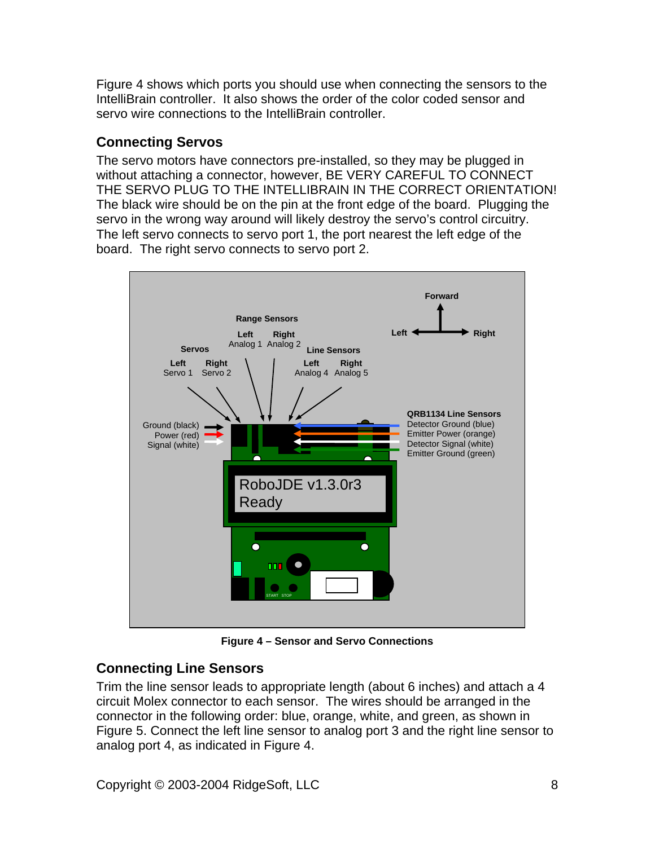Figure 4 shows which ports you should use when connecting the sensors to the IntelliBrain controller. It also shows the order of the color coded sensor and servo wire connections to the IntelliBrain controller.

### **Connecting Servos**

The servo motors have connectors pre-installed, so they may be plugged in without attaching a connector, however, BE VERY CAREFUL TO CONNECT THE SERVO PLUG TO THE INTELLIBRAIN IN THE CORRECT ORIENTATION! The black wire should be on the pin at the front edge of the board. Plugging the servo in the wrong way around will likely destroy the servo's control circuitry.<br>The left servo connects to servo port 1, the port nearest the left edge of the board. The right servo connects to servo port 2.



**Figure 4 – Sensor and Servo Connections**

## **Connecting Line Sensors**

Trim the line sensor leads to appropriate length (about 6 inches) and attach a 4 circuit Molex connector to each sensor. The wires should be arranged in the connector in the following order: blue, orange, white, and green, as shown in Figure 5. Connect the left line sensor to analog port 3 and the right line sensor to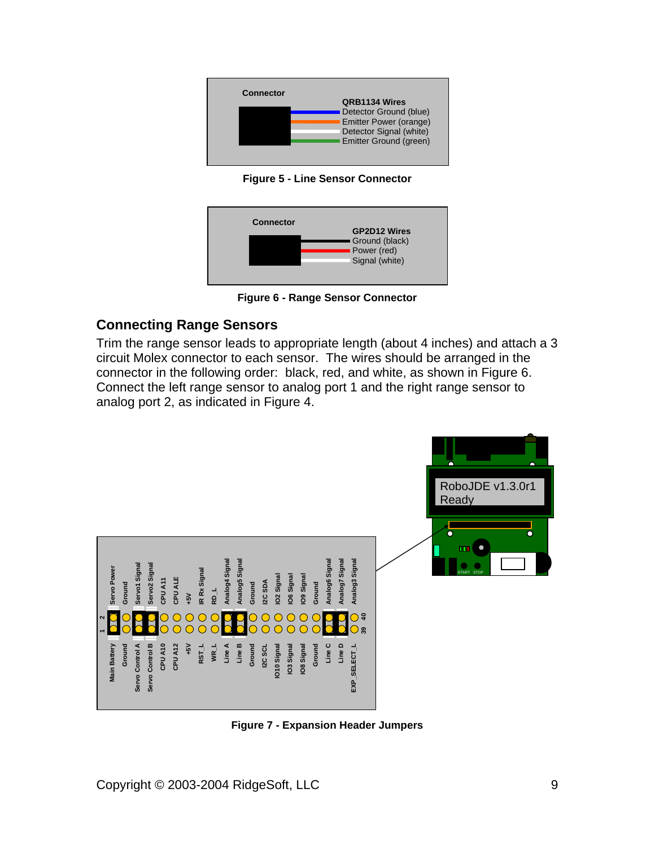

**Figure 5 - Line Sensor Connector**



**Figure 6 - Range Sensor Connector**

#### **Connecting Range Sensors**

Trim the range sensor leads to appropriate length (about 4 inches) and attach a 3 circuit Molex connector to each sensor. The wires should be arranged in the connector in the following order: black, red, and white, as shown in Figure 6. Connect the left range sensor to analog port 1 and the right range sensor to analog port 2, as indicated in Figure 4.



**Figure 7 - Expansion Header Jumpers**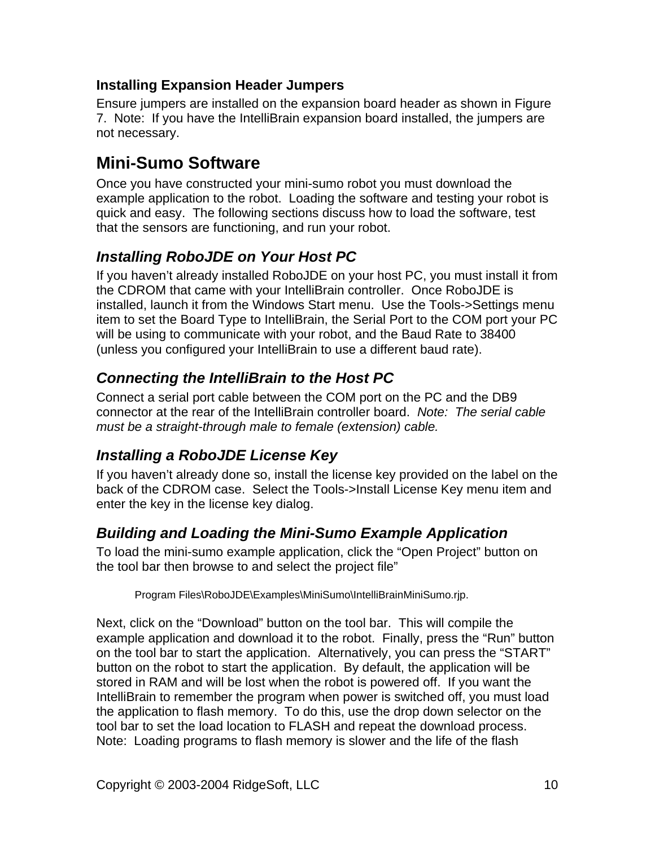#### **Installing Expansion Header Jumpers**

Ensure jumpers are installed on the expansion board header as shown in Figure 7. Note: If you have the IntelliBrain expansion board installed, the jumpers are not necessary.

## **Mini-Sumo Software**

Once you have constructed your mini-sumo robot you must download the example application to the robot. Loading the software and testing your robot is quick and easy. The following sections discuss how to load the software, test that the sensors are functioning, and run your robot.

## **Installing RoboJDE on Your Host PC**

If you haven't already installed RoboJDE on your host PC, you must install it from the CDROM that came with your IntelliBrain controller. Once RoboJDE is installed, launch it from the Windows Start menu. Use the Tools->Settings menu item to set the Board Type to IntelliBrain, the Serial Port to the COM port your PC will be using to communicate with your robot, and the Baud Rate to 38400 (unless you configured your IntelliBrain to use a different baud rate).

## **Connecting the IntelliBrain to the Host PC**

Connect a serial port cable between the COM port on the PC and the DB9 connector at the rear of the IntelliBrain controller board. Note: The serial cable must be a straight-through male to female (extension) cable.

## **Installing a RoboJDE License Key**

If you haven't already done so, install the license key provided on the label on the back of the CDROM case. Select the Tools->Install License Key menu item and enter the key in the license key dialog.

## **Building and Loading the Mini-Sumo Example Application**

To load the mini-sumo example application, click the "Open Project" button on the tool bar then browse to and select the project file"

Program Files\RoboJDE\Examples\MiniSumo\IntelliBrainMiniSumo.rjp.

Next, click on the "Download" button on the tool bar. This will compile the example application and download it to the robot. Finally, press the "Run" button on the tool bar to start the application. Alternatively, you can press the "START" button on the robot to start the application. By default, the application will be stored in RAM and will be lost when the robot is powered off. If you want the IntelliBrain to remember the program when power is switched off, you must load the application to flash memory. To do this, use the drop down selector on the tool bar to set the load location to FLASH and repeat the download process. Note: Loading programs to flash memory is slower and the life of the flash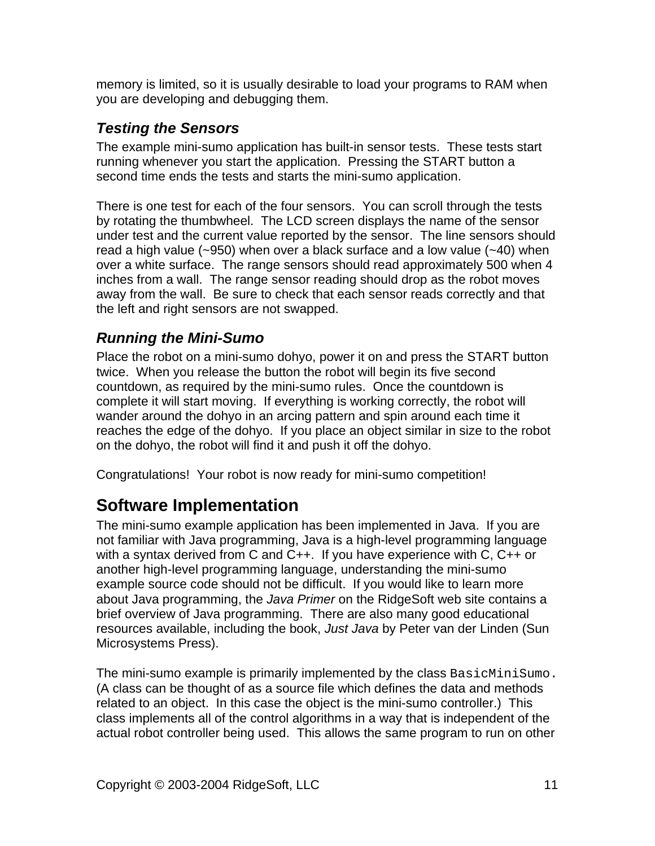memory is limited, so it is usually desirable to load your programs to RAM when you are developing and debugging them.

## **Testing the Sensors**

The example mini-sumo application has built-in sensor tests. These tests start running whenever you start the application. Pressing the START button a second time ends the tests and starts the mini-sumo application.

There is one test for each of the four sensors. You can scroll through the tests by rotating the thumbwheel. The LCD screen displays the name of the sensor under test and the current value reported by the sensor. The line sensors should read a high value (~950) when over a black surface and a low value (~40) when over a white surface. The range sensors should read approximately 500 when 4 inches from a wall. The range sensor reading should drop as the robot moves away from the wall. Be sure to check that each sensor reads correctly and that the left and right sensors are not swapped.

### **Running the Mini-Sumo**

Place the robot on a mini-sumo dohyo, power it on and press the START button twice. When you release the button the robot will begin its five second countdown, as required by the mini-sumo rules. Once the countdown is complete it will start moving. If everything is working correctly, the robot will wander around the dohyo in an arcing pattern and spin around each time it reaches the edge of the dohyo. If you place an object similar in size to the robot on the dohyo, the robot will find it and push it off the dohyo.

Congratulations! Your robot is now ready for mini-sumo competition!

## **Software Implementation**

The mini-sumo example application has been implemented in Java. If you are not familiar with Java programming, Java is a high-level programming language with a syntax derived from C and C++. If you have experience with C, C++ or another high-level programming language, understanding the mini-sumo example source code should not be difficult. If you would like to learn more about Java programming, the Java Primer on the RidgeSoft web site contains a brief overview of Java programming. There are also many good educational resources available, including the book, Just Java by Peter van der Linden (Sun Microsystems Press).

The mini-sumo example is primarily implemented by the class BasicMiniSumo. (A class can be thought of as a source file which defines the data and methods related to an object. In this case the object is the mini-sumo controller.) This class implements all of the control algorithms in a way that is independent of the actual robot controller being used. This allows the same program to run on other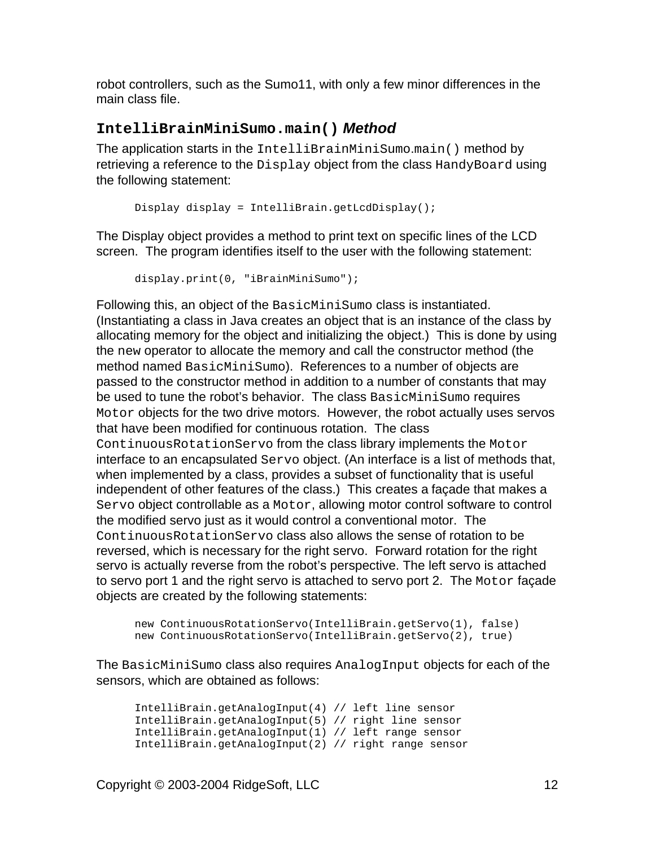robot controllers, such as the Sumo11, with only a few minor differences in the main class file.

#### **IntelliBrainMiniSumo.main() Method**

The application starts in the IntelliBrainMiniSumo.main() method by retrieving a reference to the Display object from the class HandyBoard using the following statement:

```
Display display = IntelliBrain.getLcdDisplay();
```
The Display object provides a method to print text on specific lines of the LCD screen. The program identifies itself to the user with the following statement:

```
display.print(0, "iBrainMiniSumo");
```
Following this, an object of the BasicMiniSumo class is instantiated.<br>(Instantiating a class in Java creates an object that is an instance of the class by allocating memory for the object and initializing the object.) This is done by using the new operator to allocate the memory and call the constructor method (the method named BasicMiniSumo). References to a number of objects are passed to the constructor method in addition to a number of constants that may be used to tune the robot's behavior. The class BasicMiniSumo requires Motor objects for the two drive motors. However, the robot actually uses servos that have been modified for continuous rotation. The class ContinuousRotationServo from the class library implements the Motor interface to an encapsulated Servo object. (An interface is a list of methods that, when implemented by a class, provides a subset of functionality that is useful independent of other features of the class.) This creates a façade that makes a Servo object controllable as a Motor, allowing motor control software to control the modified servo just as it would control a conventional motor. The ContinuousRotationServo class also allows the sense of rotation to be reversed, which is necessary for the right servo. Forward rotation for the right servo is actually reverse from the robot's perspective. The left servo is attached to servo port 1 and the right servo is attached to servo port 2. The Motor façade objects are created by the following statements:

```
new ContinuousRotationServo(IntelliBrain.getServo(1), false)
new ContinuousRotationServo(IntelliBrain.getServo(2), true)
```
The BasicMiniSumo class also requires AnalogInput objects for each of the sensors, which are obtained as follows:

```
IntelliBrain.getAnalogInput(4) // left line sensor
IntelliBrain.getAnalogInput(5) // right line sensor
IntelliBrain.getAnalogInput(1) // left range sensor
IntelliBrain.getAnalogInput(2) // right range sensor
```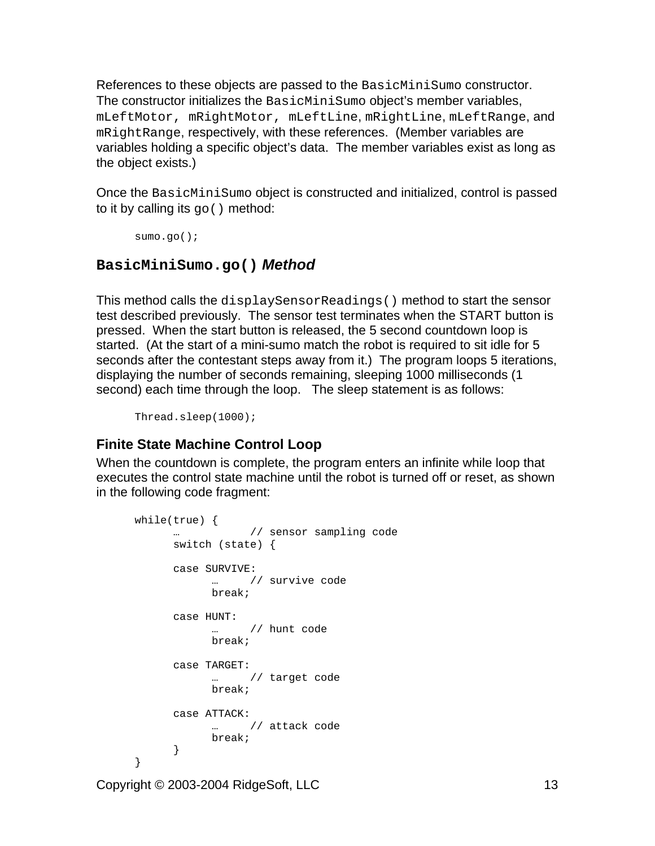References to these objects are passed to the BasicMiniSumo constructor.<br>The constructor initializes the BasicMiniSumo object's member variables, mLeftMotor, mRightMotor, mLeftLine, mRightLine, mLeftRange, and mRightRange, respectively, with these references. (Member variables are variables holding a specific object's data. The member variables exist as long as the object exists.)

Once the BasicMiniSumo object is constructed and initialized, control is passed to it by calling its  $g_0()$  method:

```
\texttt{sumo.go}();
```
#### **BasicMiniSumo.go() Method**

This method calls the displaySensorReadings() method to start the sensor test described previously. The sensor test terminates when the START button is pressed. When the start button is released, the 5 second countdown loop is started. (At the start of a mini-sumo match the robot is required to sit idle for 5 seconds after the contestant steps away from it.) The program loops 5 iterations, displaying the number of seconds remaining, sleeping 1000 milliseconds (1 second) each time through the loop. The sleep statement is as follows:

 $\mathtt{Thread}.\mathtt{sleep}(1000)$ ;

### **Finite State Machine Control Loop**

When the countdown is complete, the program enters an infinite while loop that executes the control state machine until the robot is turned off or reset, as shown in the following code fragment:

```
while(true) {
 … // sensor sampling code
 switch (state) {
 case SURVIVE:
   … // survive code
   break; the contract of the contract of the contract of the contract of the contract of the contract of the contract of the contract of the contract of the contract of the contract of the contract of the contract of the con
 case HUNT:
   … // hunt code
   break; the contract of the contract of the contract of the contract of the contract of the contract of the contract of the contract of the contract of the contract of the contract of the contract of the contract of the con
 case TARGET:
   … // target code
   break; the contract of the contract of the contract of the contract of the contract of the contract of the contract of the contract of the contract of the contract of the contract of the contract of the contract of the con
 case ATTACK:
   … // attack code
   break; the contract of the contract of the contract of the contract of the contract of the contract of the contract of the contract of the contract of the contract of the contract of the contract of the contract of the con
 }
}
```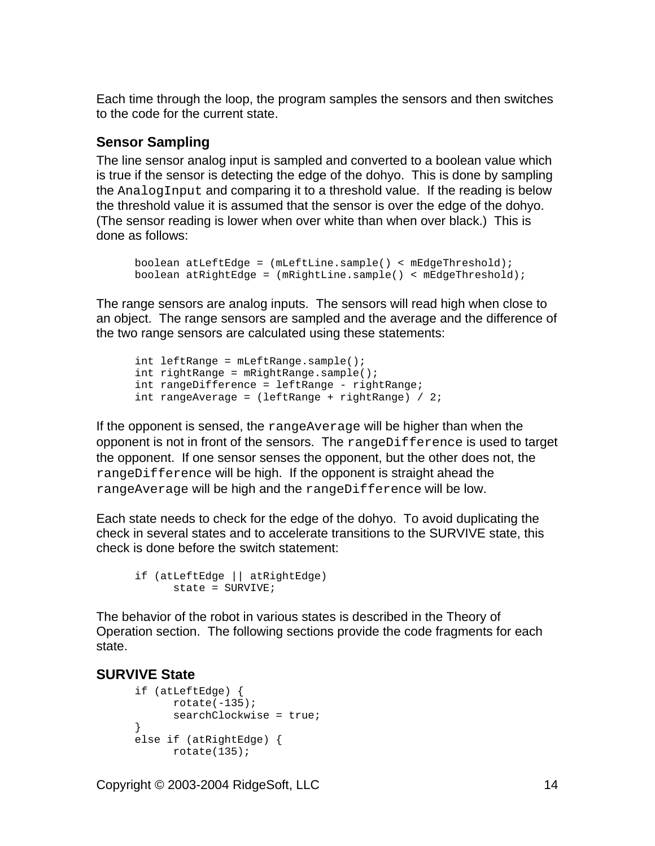Each time through the loop, the program samples the sensors and then switches to the code for the current state.

#### **Sensor Sampling**

The line sensor analog input is sampled and converted to a boolean value which is true if the sensor is detecting the edge of the dohyo. This is done by sampling the AnalogInput and comparing it to a threshold value. If the reading is below the threshold value it is assumed that the sensor is over the edge of the dohyo. (The sensor reading is lower when over white than when over black.) This is done as follows:

```
boolean atLeftEdge = (mLeftLine.sample() < mEdgeThreshold);
boolean atRightEdge = (mRightLine.sample() < mEdgeThreshold);
```
The range sensors are analog inputs. The sensors will read high when close to an object. The range sensors are sampled and the average and the difference of the two range sensors are calculated using these statements:

```
int leftRange = mLeftRange.sample();
int rightRange = mRightRange.sample();
int rangeDifference = leftRange - rightRange;
int rangeAverage = \left(\text{leftRange} + \text{rightRange}\right) / 2i
```
If the opponent is sensed, the rangeAverage will be higher than when the opponent is not in front of the sensors. The rangeDifference is used to target the opponent. If one sensor senses the opponent, but the other does not, the rangeDifference will be high. If the opponent is straight ahead the rangeAverage will be high and the rangeDifference will be low.

Each state needs to check for the edge of the dohyo. To avoid duplicating the check in several states and to accelerate transitions to the SURVIVE state, this check is done before the switch statement:

```
if (atLeftEdge || atRightEdge)
 state = SURVIVE;
```
The behavior of the robot in various states is described in the Theory of Operation section. The following sections provide the code fragments for each state. The contract of the contract of the contract of the contract of the contract of the contract of the contract of the contract of the contract of the contract of the contract of the contract of the contract of the con

#### **SURVIVE State**

```
if (atLeftEdge) {
\texttt{rotate}(-135);
searchClockwise = true;
}
else if (atRightEdge) {
rotate(135);
```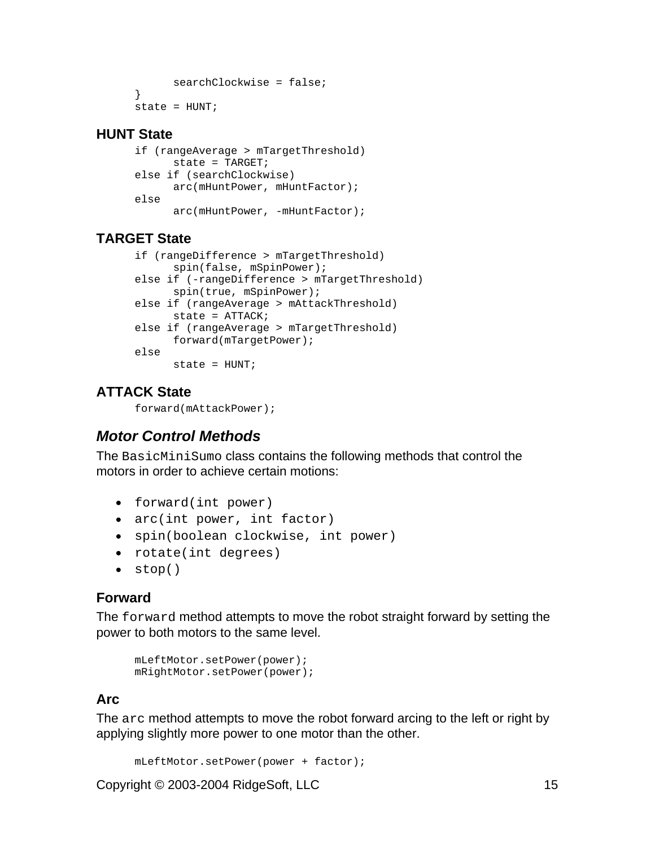```
searchClockwise = false;
}
state = HUNT;
```
#### **HUNT State**

```
if (rangeAverage > mTargetThreshold)
 state = TARGET;
else if (searchClockwise)
 arc(mHuntPower, mHuntFactor);
else
 arc(mHuntPower, -mHuntFactor);
```
#### **TARGET State**

```
if (rangeDifference > mTargetThreshold)
 spin(false, mSpinPower);<br>
else if (-rangeDifference > mTargetThreshold)
 spin(true, mSpinPower);<br>
else if (rangeAverage > mAttackThreshold)
 state = ATTACK;
else if (rangeAverage > mTargetThreshold)
 forward(mTargetPower);
else
 state = HUNT;
```
#### **ATTACK State**

forward(mAttackPower);

## **Motor Control Methods**

The BasicMiniSumo class contains the following methods that control the motors in order to achieve certain motions:

- forward(int power)
- arc(int power, int factor)
- spin(boolean clockwise, int power)
- rotate(int degrees)
- stop()

#### **Forward**

The forward method attempts to move the robot straight forward by setting the power to both motors to the same level.

```
mLeftMotor.setPower(power);
mRightMotor.setPower(power);
```
#### **Arc**

The arc method attempts to move the robot forward arcing to the left or right by applying slightly more power to one motor than the other.

```
mLeftMotor.setPower(power + factor);
```
Copyright © 2003-2004 RidgeSoft, LLC 15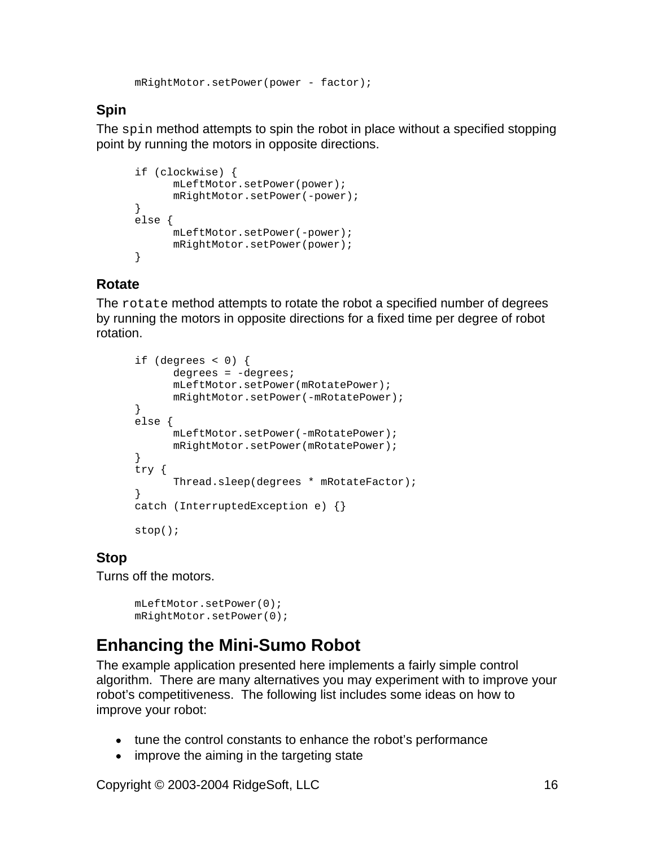mRightMotor.setPower(power - factor);

### **Spin**

The spin method attempts to spin the robot in place without a specified stopping point by running the motors in opposite directions.

```
if (clockwise) {
mLeftMotor.setPower(power);
mRightMotor.setPower(-power);
}
else {
mLeftMotor.setPower(-power);
mRightMotor.setPower(power);
}
```
### **Rotate**

The rotate method attempts to rotate the robot a specified number of degrees by running the motors in opposite directions for a fixed time per degree of robot rotation. **Example 20** in the contract of the contract of the contract of the contract of the contract of the contract of the contract of the contract of the contract of the contract of the contract of the contract of the

```
if (degrees < 0) {
degrees = -degrees;
mLeftMotor.setPower(mRotatePower);
mRightMotor.setPower(-mRotatePower);
}
else {
mLeftMotor.setPower(-mRotatePower);
mRightMotor.setPower(mRotatePower);
}
try {
Thread.sleep(degrees * mRotateFactor);
}
catch (InterruptedException e) {}
stop();
```
## **Stop**

Turns off the motors.

```
mLeftMotor.setPower(0);
mRightMotor.setPower(0);
```
## **Enhancing the Mini-Sumo Robot**

The example application presented here implements a fairly simple control algorithm. There are many alternatives you may experiment with to improve your robot's competitiveness. The following list includes some ideas on how to improve your robot:

- tune the control constants to enhance the robot's performance
- improve the aiming in the targeting state

Copyright © 2003-2004 RidgeSoft, LLC 16